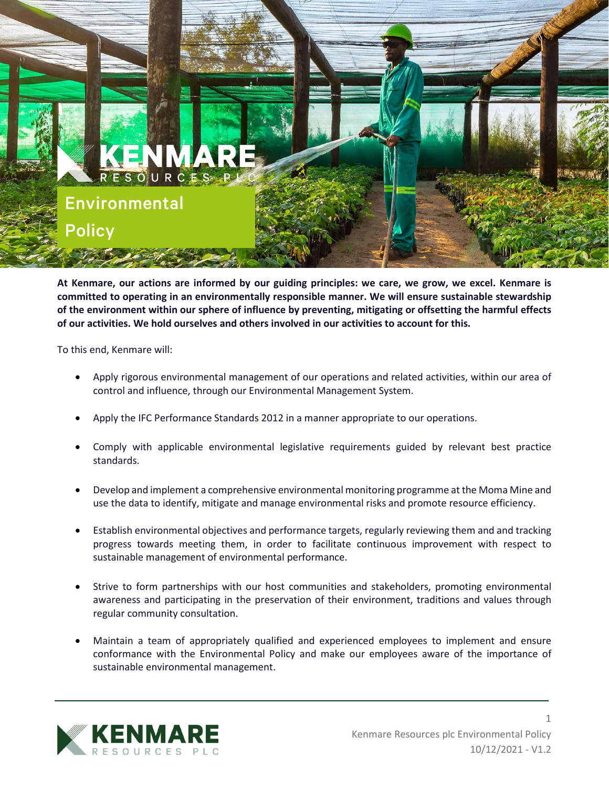

**At Kenmare, our actions are informed by our guiding principles: we care, we grow, we excel. Kenmare is committed to operating in an environmentally responsible manner. We will ensure sustainable stewardship of the environment within our sphere of influence by preventing, mitigating or offsetting the harmful effects of our activities. We hold ourselves and others involved in our activities to account for this.**

To this end, Kenmare will:

- Apply rigorous environmental management of our operations and related activities, within our area of control and influence, through our Environmental Management System.
- Apply the IFC Performance Standards 2012 in a manner appropriate to our operations.
- Comply with applicable environmental legislative requirements guided by relevant best practice standards.
- Develop and implement a comprehensive environmental monitoring programme at the Moma Mine and use the data to identify, mitigate and manage environmental risks and promote resource efficiency.
- Establish environmental objectives and performance targets, regularly reviewing them and and tracking progress towards meeting them, in order to facilitate continuous improvement with respect to sustainable management of environmental performance.
- Strive to form partnerships with our host communities and stakeholders, promoting environmental awareness and participating in the preservation of their environment, traditions and values through regular community consultation.
- Maintain a team of appropriately qualified and experienced employees to implement and ensure conformance with the Environmental Policy and make our employees aware of the importance of sustainable environmental management.



1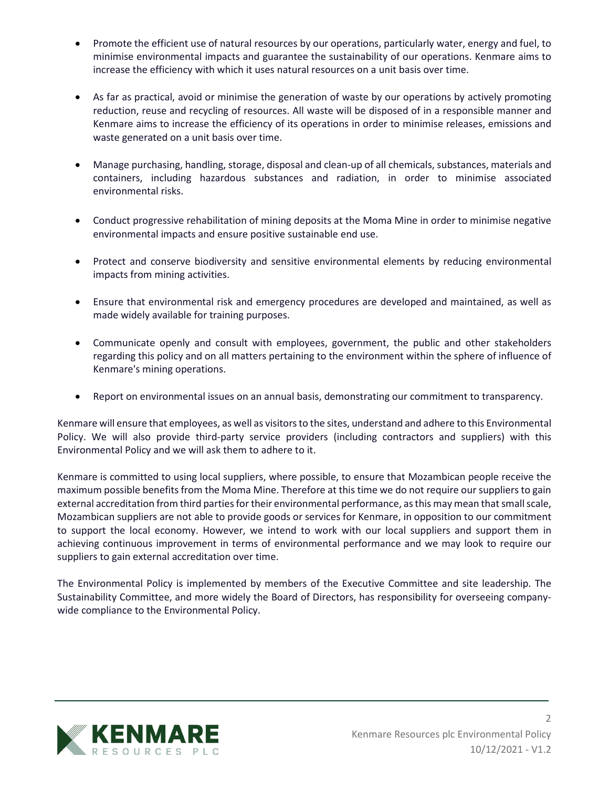- Promote the efficient use of natural resources by our operations, particularly water, energy and fuel, to minimise environmental impacts and guarantee the sustainability of our operations. Kenmare aims to increase the efficiency with which it uses natural resources on a unit basis over time.
- As far as practical, avoid or minimise the generation of waste by our operations by actively promoting reduction, reuse and recycling of resources. All waste will be disposed of in a responsible manner and Kenmare aims to increase the efficiency of its operations in order to minimise releases, emissions and waste generated on a unit basis over time.
- Manage purchasing, handling, storage, disposal and clean-up of all chemicals, substances, materials and containers, including hazardous substances and radiation, in order to minimise associated environmental risks.
- Conduct progressive rehabilitation of mining deposits at the Moma Mine in order to minimise negative environmental impacts and ensure positive sustainable end use.
- Protect and conserve biodiversity and sensitive environmental elements by reducing environmental impacts from mining activities.
- Ensure that environmental risk and emergency procedures are developed and maintained, as well as made widely available for training purposes.
- Communicate openly and consult with employees, government, the public and other stakeholders regarding this policy and on all matters pertaining to the environment within the sphere of influence of Kenmare's mining operations.
- Report on environmental issues on an annual basis, demonstrating our commitment to transparency.

Kenmare will ensure that employees, as well as visitors to the sites, understand and adhere to this Environmental Policy. We will also provide third-party service providers (including contractors and suppliers) with this Environmental Policy and we will ask them to adhere to it.

Kenmare is committed to using local suppliers, where possible, to ensure that Mozambican people receive the maximum possible benefits from the Moma Mine. Therefore at this time we do not require our suppliers to gain external accreditation from third parties for their environmental performance, as this may mean that small scale, Mozambican suppliers are not able to provide goods or services for Kenmare, in opposition to our commitment to support the local economy. However, we intend to work with our local suppliers and support them in achieving continuous improvement in terms of environmental performance and we may look to require our suppliers to gain external accreditation over time.

The Environmental Policy is implemented by members of the Executive Committee and site leadership. The Sustainability Committee, and more widely the Board of Directors, has responsibility for overseeing companywide compliance to the Environmental Policy.



2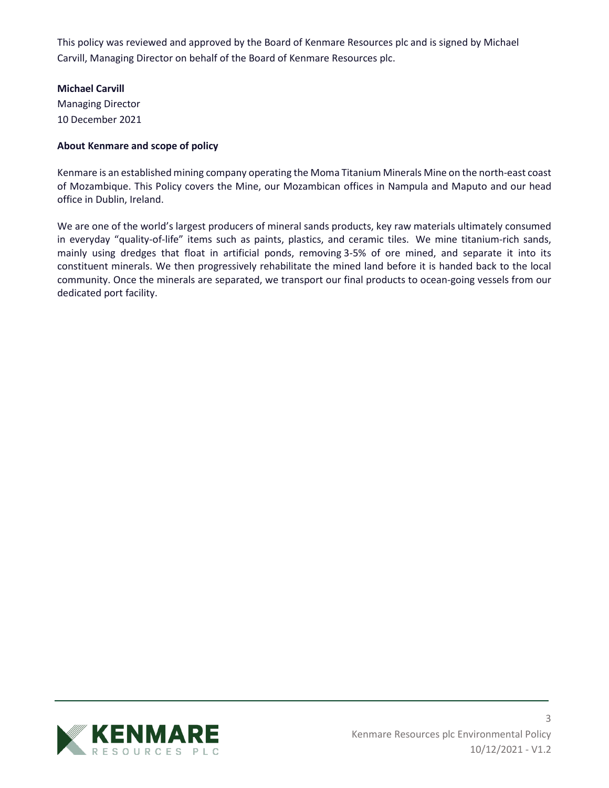This policy was reviewed and approved by the Board of Kenmare Resources plc and is signed by Michael Carvill, Managing Director on behalf of the Board of Kenmare Resources plc.

## **Michael Carvill**

Managing Director 10 December 2021

## **About Kenmare and scope of policy**

Kenmare is an established mining company operating the Moma Titanium Minerals Mine on the north-east coast of Mozambique. This Policy covers the Mine, our Mozambican offices in Nampula and Maputo and our head office in Dublin, Ireland.

We are one of the world's largest producers of mineral sands products, key raw materials ultimately consumed in everyday "quality-of-life" items such as paints, plastics, and ceramic tiles. We mine titanium-rich sands, mainly using dredges that float in artificial ponds, removing 3-5% of ore mined, and separate it into its constituent minerals. We then progressively rehabilitate the mined land before it is handed back to the local community. Once the minerals are separated, we transport our final products to ocean-going vessels from our dedicated port facility.